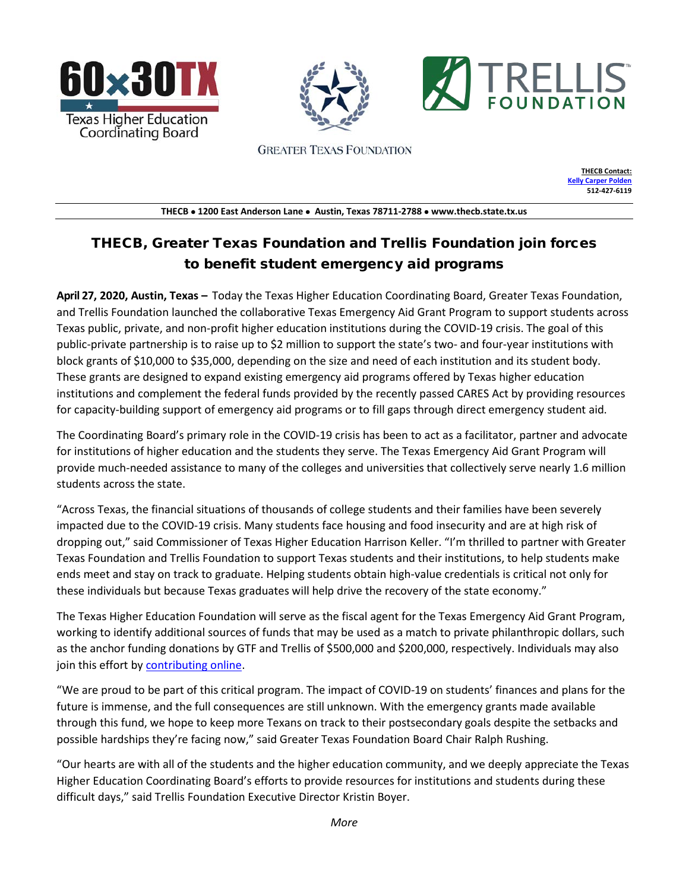





**GREATER TEXAS FOUNDATION** 

**THECB Contact: [Kelly Carper Polden](mailto:Kelly.polden@thecb.state.tx.us) 512-427-6119**

**THECB** • **1200 East Anderson Lane** • **Austin, Texas 78711-2788** • **www.thecb.state.tx.us** 

# THECB, Greater Texas Foundation and Trellis Foundation join forces to benefit student emergency aid programs

**April 27, 2020, Austin, Texas –** Today the Texas Higher Education Coordinating Board, Greater Texas Foundation, and Trellis Foundation launched the collaborative Texas Emergency Aid Grant Program to support students across Texas public, private, and non-profit higher education institutions during the COVID-19 crisis. The goal of this public-private partnership is to raise up to \$2 million to support the state's two- and four-year institutions with block grants of \$10,000 to \$35,000, depending on the size and need of each institution and its student body. These grants are designed to expand existing emergency aid programs offered by Texas higher education institutions and complement the federal funds provided by the recently passed CARES Act by providing resources for capacity-building support of emergency aid programs or to fill gaps through direct emergency student aid.

The Coordinating Board's primary role in the COVID-19 crisis has been to act as a facilitator, partner and advocate for institutions of higher education and the students they serve. The Texas Emergency Aid Grant Program will provide much-needed assistance to many of the colleges and universities that collectively serve nearly 1.6 million students across the state.

"Across Texas, the financial situations of thousands of college students and their families have been severely impacted due to the COVID-19 crisis. Many students face housing and food insecurity and are at high risk of dropping out," said Commissioner of Texas Higher Education Harrison Keller. "I'm thrilled to partner with Greater Texas Foundation and Trellis Foundation to support Texas students and their institutions, to help students make ends meet and stay on track to graduate. Helping students obtain high-value credentials is critical not only for these individuals but because Texas graduates will help drive the recovery of the state economy."

The Texas Higher Education Foundation will serve as the fiscal agent for the Texas Emergency Aid Grant Program, working to identify additional sources of funds that may be used as a match to private philanthropic dollars, such as the anchor funding donations by GTF and Trellis of \$500,000 and \$200,000, respectively. Individuals may also join this effort by **contributing online**.

"We are proud to be part of this critical program. The impact of COVID-19 on students' finances and plans for the future is immense, and the full consequences are still unknown. With the emergency grants made available through this fund, we hope to keep more Texans on track to their postsecondary goals despite the setbacks and possible hardships they're facing now," said Greater Texas Foundation Board Chair Ralph Rushing.

"Our hearts are with all of the students and the higher education community, and we deeply appreciate the Texas Higher Education Coordinating Board's efforts to provide resources for institutions and students during these difficult days," said Trellis Foundation Executive Director Kristin Boyer.